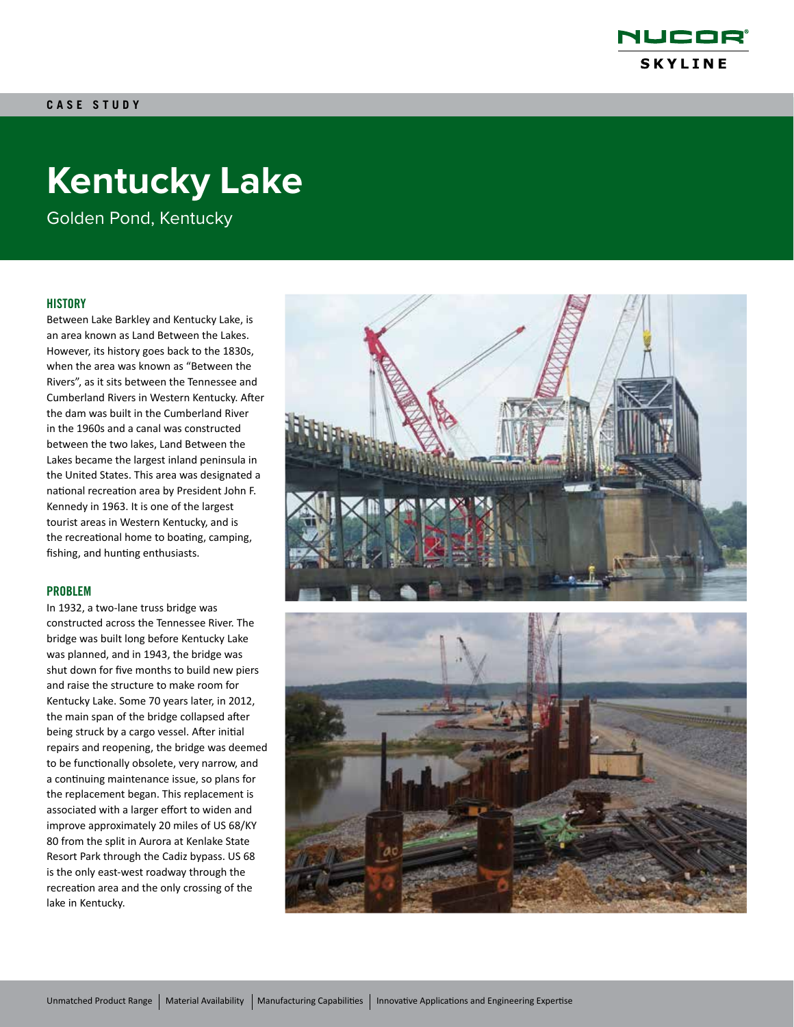

# **Kentucky Lake**

Golden Pond, Kentucky

### **HISTORY**

Between Lake Barkley and Kentucky Lake, is an area known as Land Between the Lakes. However, its history goes back to the 1830s, when the area was known as "Between the Rivers", as it sits between the Tennessee and Cumberland Rivers in Western Kentucky. After the dam was built in the Cumberland River in the 1960s and a canal was constructed between the two lakes, Land Between the Lakes became the largest inland peninsula in the United States. This area was designated a national recreation area by President John F. Kennedy in 1963. It is one of the largest tourist areas in Western Kentucky, and is the recreational home to boating, camping, fishing, and hunting enthusiasts.

#### PROBLEM

In 1932, a two-lane truss bridge was constructed across the Tennessee River. The bridge was built long before Kentucky Lake was planned, and in 1943, the bridge was shut down for five months to build new piers and raise the structure to make room for Kentucky Lake. Some 70 years later, in 2012, the main span of the bridge collapsed after being struck by a cargo vessel. After initial repairs and reopening, the bridge was deemed to be functionally obsolete, very narrow, and a continuing maintenance issue, so plans for the replacement began. This replacement is associated with a larger effort to widen and improve approximately 20 miles of US 68/KY 80 from the split in Aurora at Kenlake State Resort Park through the Cadiz bypass. US 68 is the only east-west roadway through the recreation area and the only crossing of the lake in Kentucky.